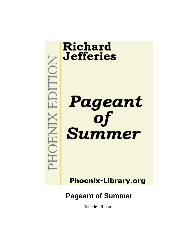

**Phoenix-Library.org** 

# **Pageant of Summer**

Jefferies, Richard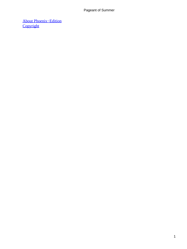[About Phoenix−Edition](#page-14-0) **[Copyright](#page-15-0)**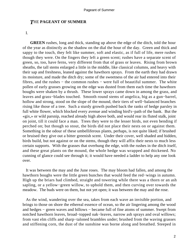# *T*HE **PAGEANT OF SUMMER**

I.

**GREEN** rushes, long and thick, standing up above the edge of the ditch, told the hour of the year as distinctly as the shadow on the dial the hour of the day. Green and thick and sappy to the touch, they felt like summer, soft and elastic, as if full of life, mere rushes though they were. On the fingers they left a green scent; rushes have a separate scent of green, so, too, have ferns, very different from that of grass or leaves. Rising from brown sheaths, the tall stems enlarged a little in the middle, like classical columns, and heavy with their sap and freshness, leaned against the hawthorn sprays. From the earth they had drawn its moisture, and made the ditch dry; some of the sweetness of the air had entered into their fibres, and the rushes − the common rushes − were full of beautiful summer. The white pollen of early grasses growing on the edge was dusted from them each time the hawthorn boughs were shaken by a thrush. These lower sprays came down in among the grass, and leaves and grass−blades touched. Smooth round stems of angelica, big as a gun−barrel, hollow and strong, stood on the slope of the mound, their tiers of well−balanced branches rising like those of a tree. Such a sturdy growth pushed back the ranks of hedge parsley in full white flower, which blocked every avenue and winding bird's−path of the bank. But the «gix,» or wild parsnip, reached already high above both, and would rear its fluted stalk, joint on joint, till it could face a man. Trees they were to the lesser birds, not even bending if perched on; but though so stout, the birds did not place their nests on or against them. Something in the odour of these umbelliferous plants, perhaps, is not quite liked; if brushed or bruised they give out a bitter greenish scent. Under their cover, well shaded and hidden, birds build, but not against or on the stems, though they will affix their nests to much less certain supports. With the grasses that overhung the edge, with the rushes in the ditch itself, and these great plants on the mound, the whole hedge was wrapped and thickened. No cunning of glance could see through it; it would have needed a ladder to help any one look over.

 It was between the may and the June roses. The may bloom had fallen, and among the hawthorn boughs were the little green bunches that would feed the red−wings in autumn. High up the briars had climbed, straight and towering while there was a thorn or an ash sapling, or a yellow−green willow, to uphold them, and then curving over towards the meadow. The buds were on them, but not yet open; it was between the may and the rose.

 As the wind, wandering over the sea, takes from each wave an invisible portion, and brings to those on shore the ethereal essence of ocean, so the air lingering among the wood and hedges − green waves and billows − became full of fine atoms of summer. Swept from notched hawthorn leaves, broad−topped oak−leaves, narrow ash sprays and oval willows; from vast elm cliffs and sharp−taloned brambles under; brushed from the waving grasses and stiffening corn, the dust of the sunshine was borne along and breathed. Steeped in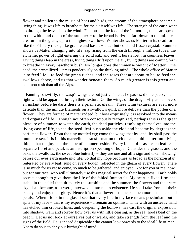flower and pollen to the music of bees and birds, the stream of the atmosphere became a living thing. It was life to breathe it, for the air itself was life. The strength of the earth went up through the leaves into the wind. Fed thus on the food of the Immortals, the heart opened to the width and depth of the summer – to the broad horizon afar, down to the minutest creature in the grass, up to the highest swallow. Winter shows us Matter in its dead form, like the Primary rocks, like granite and basalt – clear but cold and frozen crystal. Summer shows us Matter changing into life, sap rising from the earth through a million tubes, the alchemic power of light entering the solid oak; and see! it bursts forth in countless leaves. Living things leap in the grass, living things drift upon the air, living things are coming forth to breathe in every hawthorn bush. No longer does the immense weight of Matter − the dead, the crystallized − press ponderously on the thinking mind. The whole office of Matter is to feed life − to feed the green rushes, and the roses that are about to be; to feed the swallows above, and us that wander beneath them. So much greater is this green and common rush than all the Alps.

 Fanning so swiftly, the wasp's wings are but just visible as he passes; did he pause, the light would be apparent through their texture. On the wings of the dragon−fly as he hovers an instant before he darts there is a prismatic gleam. These wing textures are even more delicate than the minute filaments on a swallow's quill, more delicate than the pollen of a flower. They are formed of matter indeed, but how exquisitely it is resolved into the means and organs of life! Though not often consciously recognized, perhaps this is the great pleasure of summer, to watch the earth, the dead particles, resolving themselves into the living case of life, to see the seed−leaf push aside the clod and become by degrees the perfumed flower. From the tiny mottled egg come the wings that by−and−by shall pass the immense sea. It is in this marvellous transformation of clods and cold matter into living things that the joy and the hope of summer reside. Every blade of grass, each leaf, each separate floret and petal, is an inscription speaking of hope. Consider the grasses and the oaks, the swallows, the sweet blue butterfly – they are one and all a sign and token showing before our eyes earth made into life. So that my hope becomes as broad as the horizon afar, reiterated by every leaf, sung on every bough, reflected in the gleam of every flower. There is so much for us yet to come, so much to be gathered, and enjoyed. Not for you or me, now, but for our race, who will ultimately use this magical secret for their happiness. Earth holds secrets enough to give them the life of the fabled Immortals. My heart is fixed firm and stable in the belief that ultimately the sunshine and the summer, the flowers and the azure sky, shall become, as it were, interwoven into man's existence. He shall take from all their beauty and enjoy their glory. Hence it is that a flower is to me so much more than stalk and petals. When I look in the glass I see that every line in my face means pessimism; but in spite of my face – that is my experience – I remain an optimist. Time with an unsteady hand has etched thin crooked lines, and, deepening the hollows, has cast the original expression into shadow. Pain and sorrow flow over us with little ceasing, as the sea−hoofs beat on the beach. Let us not look at ourselves but onwards, and take strength from the leaf and the signs of the field. He is indeed despicable who cannot look onwards to the ideal life of man. Not to do so is to deny our birthright of mind.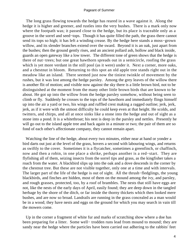The long grass flowing towards the hedge has reared in a wave against it. Along the hedge it is higher and greener, and rustles into the very bushes. There is a mark only now where the footpath was; it passed close to the hedge, but its place is traceable only as a groove in the sorrel and seed−tops. Though it has quite filled the path, the grass there cannot send its tops so high; it has left a winding crease. By the hedge here stands a moss−grown willow, and its slender branches extend over the sward. Beyond it is an oak, just apart from the bushes; then the ground gently rises, and an ancient pollard ash, hollow and black inside, guards an open gateway like a low tower. The different tone of green shows that the hedge is there of nut−trees; but one great hawthorn spreads out in a semicircle, roofing the grass which is yet more verdant in the still pool (as it were) under it. Next a corner, more oaks, and a chestnut in bloom. Returning to this spot an old apple tree stands right out in the meadow like an island. There seemed just now the tiniest twinkle of movement by the rushes, but it was lost among the hedge parsley. Among the grey leaves of the willow there is another flit of motion; and visible now against the sky there is a little brown bird, not to be distinguished at the moment from the many other little brown birds that are known to be about. He got up into the willow from the hedge parsley somehow, without being seen to climb or fly. Suddenly he crosses to the tops of the hawthorn and immediately flings himself up into the air a yard or two, his wings and ruffled crest making a ragged outline; jerk, jerk, jerk, as if it were with the utmost difficulty he could keep even at that height. He scolds, and twitters, and chirps, and all at once sinks like a stone into the hedge and out of sight as a stone into a pond. It is a whitethroat; his nest is deep in the parsley and nettles. Presently he will go out to the island apple tree and back again in a minute or two; the pair of them are so fond of each other's affectionate company, they cannot remain apart.

 Watching the line of the hedge, about every two minutes, either near at hand or yonder a bird darts out just at the level of the grass, hovers a second with labouring wings, and returns as swiftly to the cover. Sometimes it is a flycatcher, sometimes a greenfinch, or chaffinch, now and then a robin, in one place a shrike, perhaps another is a red−start. They are flyfishing all of them, seizing insects from the sorrel tips and grass, as the kingfisher takes a roach from the water. A blackbird slips up into the oak and a dove descends in the corner by the chestnut tree. But these are not visible together, only one at a time and with intervals. The larger part of the life of the hedge is out of sight. All the thrush−fledglings, the young blackbirds, and finches are hidden, most of them on the mound among the ivy, and parsley, and rough grasses, protected, too, by a roof of brambles. The nests that still have eggs are not, like the nests of the early days of April, easily found; they are deep down in the tangled herbage by the shore of the ditch, or far inside the thorny thickets which then looked mere bushes, and are now so broad. Landrails are running in the grass concealed as a man would be in a wood; they have nests and eggs on the ground for which you may search in vain till the mowers come.

 Up in the corner a fragment of white fur and marks of scratching show where a doe has been preparing for a litter. Some well− trodden runs lead from mound to mound; they are sandy near the hedge where the particles have been carried out adhering to the rabbits' feet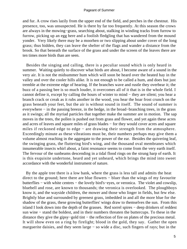and fur. A crow rises lazily from the upper end of the field, and perches in the chestnut. His presence, too, was unsuspected. He is there by far too frequently. At this season the crows are always in the mowing−grass, searching about, stalking in winding tracks from furrow to furrow, picking up an egg here and a foolish fledgling that has wandered from the mound yonder. Very likely there may be a moorhen or two slipping about under cover of the long grass; thus hidden, they can leave the shelter of the flags and wander a distance from the brook. So that beneath the surface of the grass and under the screen of the leaves there are ten times more birds than are seen.

 Besides the singing and calling, there is a peculiar sound which is only heard in summer. Waiting quietly to discover what birds are about, I become aware of a sound in the very air. It is not the midsummer hum which will soon be heard over the heated hay in the valley and over the cooler hills alike. It is not enough to be called a hum, and does but just tremble at the extreme edge of hearing. If the branches wave and rustle they overbear it; the buzz of a passing bee is so much louder, it overcomes all of it that is in the whole field. I cannot define it, except by calling the hours of winter to mind − they are silent; you hear a branch crack or creak as it rubs another in the wood, you hear the hoar frost crunch on the grass beneath your feet, but the air is without sound in itself. The sound of summer is everywhere − in the passing breeze, in the hedge, in the broad−branching trees, in the grass as it swings; all the myriad particles that together make the summer are in motion. The sap moves in the trees, the pollen is pushed out from grass and flower, and yet again these acres and acres of leaves and square miles of grass blades − for they would cover acres and square miles if reckoned edge to edge − are drawing their strength from the atmosphere. Exceedingly minute as these vibrations must be, their numbers perhaps may give them a volume almost reaching in the aggregate to the power of the ear. Besides the quivering leaf, the swinging grass, the fluttering bird's wing, and the thousand oval membranes which innumerable insects whirl about, a faint resonance seems to come from the very earth itself. The fervour of the sunbeams descending in a tidal flood rings on the strung harp of earth. It is this exquisite undertone, heard and yet unheard, which brings the mind into sweet accordance with the wonderful instrument of nature.

 By the apple tree there is a low bank, where the grass is less tall and admits the heat direct to the ground; here there are blue flowers − bluer than the wings of my favourite butterflies − with white centres − the lovely bird's−eyes, or veronica. The violet and cowslip, bluebell and rose, are known to thousands; the veronica is overlooked. The ploughboys know it, and the wayside children, the mower and those who linger in fields, but few else. Brightly blue and surrounded by greenest grass, imbedded in and all the more blue for the shadow of the grass, these growing butterflies' wings draw to themselves the sun. From this island I look down into the depth of the grasses. Red sorrel spires − deep drinkers of reddest sun wine − stand the boldest, and in their numbers threaten the buttercups. To these in the distance they give the gipsy−gold tint − the reflection of fire on plates of the precious metal. It will show even on a ring by firelight; blood in the gold, they say. Gather the open marguerite daisies, and they seem large − so wide a disc, such fingers of rays; but in the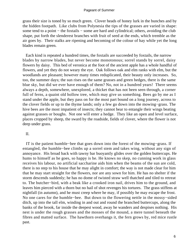grass their size is toned by so much green. Clover heads of honey lurk in the bunches and by the hidden footpath. Like clubs from Polynesia the tips of the grasses are varied in shape: some tend to a point – the foxtails – some are hard and cylindrical; others, avoiding the club shape, put forth the slenderest branches with fruit of seed at the ends, which tremble as the air goes by. Their stalks are ripening and becoming of the colour of hay while yet the long blades remain green.

 Each kind is repeated a hundred times, the foxtails are succeeded by foxtails, the narrow blades by narrow blades, but never become monotonous; sorrel stands by sorrel, daisy flowers by daisy. This bed of veronica at the foot of the ancient apple has a whole handful of flowers, and yet they do not weary the eye. Oak follows oak and elm ranks with elm, but the woodlands are pleasant; however many times reduplicated, their beauty only increases. So, too, the summer days; the sun rises on the same grasses and green hedges, there is the same blue sky, but did we ever have enough of them? No, not in a hundred years! There seems always a depth, somewhere, unexplored, a thicket that has not been seen through, a corner full of ferns, a quaint old hollow tree, which may give us something. Bees go by me as I stand under the apple, but they pass on for the most part bound on a long journey, across to the clover fields or up to the thyme lands; only a few go down into the mowing−grass. The hive bees are the most impatient of insects; they cannot bear to entangle their wings beating against grasses or boughs. Not one will enter a hedge. They like an open and level surface, places cropped by sheep, the sward by the roadside, fields of clover, where the flower is not deep under grass.

# II.

 IT is the patient humble−bee that goes down into the forest of the mowing−grass. If entangled, the humble−bee climbs up a sorrel stem and takes wing, without any sign of annoyance. His broad back with tawny bar buoyantly glides over the golden buttercups. He hums to himself as he goes, so happy is he. He knows no skep, no cunning work in glass receives his labour, no artificial saccharine aids him when the beams of the sun are cold, there is no step to his house that he may alight in comfort; the way is not made clear for him that he may start straight for the flowers, nor are any sown for him. He has no shelter if the storm descends suddenly; he has no dome of twisted straw well thatched and tiled to retreat to. The butcher−bird, with a beak like a crooked iron nail, drives him to the ground, and leaves him pierced with a thorn but no hail of shot revenges his tortures. The grass stiffens at nightfall (in autumn), and he must creep where he may, if possibly he may escape the frost. No one cares for the humble−bee. But down to the flowering nettle in the mossy−sided ditch, up into the tall elm, winding in and out and round the branched buttercups, along the banks of the brook, far inside the deepest wood, away he wanders and despises nothing. His nest is under the rough grasses and the mosses of the mound, a mere tunnel beneath the fibres and matted surface. The hawthorn overhangs it, the fern grows by, red mice rustle past.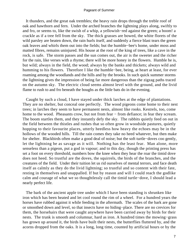It thunders, and the great oak trembles; the heavy rain drops through the treble roof of oak and hawthorn and fern. Under the arched branches the lightning plays along, swiftly to and fro, or seems to, like the swish of a whip, a yellowish−red against the green; a boom! a crackle as if a tree fell from the sky. The thick grasses are bowed, the white florets of the wild parsley are beaten down, the rain hurls itself, and suddenly a fierce blast tears the green oak leaves and whirls them out into the fields; but the humble−bee's home, under moss and matted fibres, remains uninjured. His house at the root of the king of trees, like a cave in the rock, is safe. The storm passes and the sun comes out, the air is the sweeter and the richer for the rain, like verses with a rhyme; there will be more honey in the flowers. Humble he is, but wild; always in the field, the wood; always by the banks and thickets; always wild and humming to his flowers. Therefore I like the humble−bee, being, at heart at least, for ever roaming among the woodlands and the hills and by the brooks. In such quick summer storms the lightning gives the impression of being far more dangerous than the zigzag paths traced on the autumn sky. The electric cloud seems almost level with the ground, and the livid flame to rush to and fro beneath the boughs as the little bats do in the evening.

 Caught by such a cloud, I have stayed under thick larches at the edge of plantations. They are no shelter, but conceal one perfectly. The wood pigeons come home to their nest trees; in larches they seem to have permanent nests, almost like rooks. Kestrels, too, come home to the wood. Pheasants crow, but not from fear − from defiance; in fear they scream. The boom startles them, and they instantly defy the sky. The rabbits quietly feed on out in the field between the thistles and rushes that so often grow in woodside pastures, quietly hopping to their favourite places, utterly heedless how heavy the echoes may be in the hollows of the wooded hills. Till the rain comes they take no heed whatever, but then make for shelter. Blackbirds often make a good deal of noise; but the soft turtle−doves coo gently, let the lightning be as savage as it will. Nothing has the least fear. Man alone, more senseless than a pigeon, put a god in vapour; and to this day, though the printing press has set a foot on every threshold, numbers bow the knee when they hear the roar the timid dove does not heed. So trustful are the doves, the squirrels, the birds of the branches, and the creatures of the field. Under their tuition let us rid ourselves of mental terrors, and face death itself as calmly as they do the livid lightning; so trustful and so content with their fate, resting in themselves and unappalled. If but by reason and will I could reach the godlike calm and courage of what we so thoughtlessly call the timid turtle−dove, I should lead a nearly perfect life.

 The bark of the ancient apple tree under which I have been standing is shrunken like iron which has been heated and let cool round the rim of a wheel. For a hundred years the horses have rubbed against it while feeding in the aftermath. The scales of the bark are gone or smoothed down and level, so that insects have no hiding−place. There are no crevices for them, the horsehairs that were caught anywhere have been carried away by birds for their nests. The trunk is smooth and columnar, hard as iron. A hundred times the mowing−grass has grown up around it, the birds have built their nests, the butterflies fluttered by, and the acorns dropped from the oaks. It is a long, long time, counted by artificial hours or by the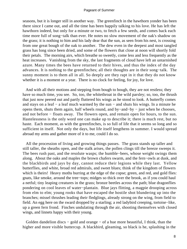seasons, but it is longer still in another way. The greenfinch in the hawthorn yonder has been there since I came out, and all the time has been happily talking to his love. He has left the hawthorn indeed, but only for a minute or two, to fetch a few seeds, and comes back each time more full of song−talk than ever. He notes no slow movement of the oak's shadow on the grass; it is nothing to him and his lady dear that the sun, as seen from his nest, is crossing from one great bough of the oak to another. The dew even in the deepest and most tangled grass has long since been dried, and some of the flowers that close at noon will shortly fold their petals. The morning airs, which breathe so sweetly, come less and less frequently as the heat increases. Vanishing from the sky, the last fragments of cloud have left an untarnished azure. Many times the bees have returned to their hives, and thus the index of the day advances. It is nothing to the greenfinches; all their thoughts are in their song−talk. The sunny moment is to them all in all. So deeply are they rapt in it that they do not know whether it is a moment or a year. There is no clock for feeling, for joy, for love.

 And with all their motions and stepping from bough to bough, they are not restless; they have so much time, you see. So, too, the whitethroat in the wild parsley; so, too, the thrush that just now peered out and partly fluttered his wings as he stood to look. A butterfly comes and stays on a leaf − a leaf much warmed by the sun − and shuts his wings. In a minute he opens them, shuts them again, half wheels round, and by−and−by − just when he chooses, and not before − floats away. The flowers open, and remain open for hours, to the sun. Hastelessness is the only word one can make up to describe it; there is much rest, but no haste. Each moment, as with the greenfinches, is so full of life that it seems so long and so sufficient in itself. Not only the days, but life itself lengthens in summer. I would spread abroad my arms and gather more of it to me, could I do so.

 All the procession of living and growing things passes. The grass stands up taller and still taller, the sheaths open, and the stalk arises, the pollen clings till the breeze sweeps it. The bees rush past, and the resolute wasps; the humble−bees, whose weight swings them along. About the oaks and maples the brown chafers swarm, and the fern−owls at dusk, and the blackbirds and jays by day, cannot reduce their legions while they last. Yellow butterflies, and white, broad red admirals, and sweet blues; think of the kingdom of flowers which is theirs! Heavy moths burring at the edge of the copse; green, and red, and gold flies: gnats, like smoke, around the tree−tops; midges so thick over the brook, as if you could haul a netful; tiny leaping creatures in the grass; bronze beetles across the path; blue dragonflies pondering on cool leaves of water−plantain. Blue jays flitting, a magpie drooping across from elm to elm; young rooks that have escaped the hostile shot blundering up into the branches; missel thrushes leading their fledglings, already strong on the wing, from field to field. An egg here on the sward dropped by a starling; a red ladybird creeping, tortoise−like, up a green fern frond. Finches undulating through the air, shooting themselves with closed wings, and linnets happy with their young.

 Golden dandelion discs − gold and orange − of a hue more beautiful, I think, than the higher and more visible buttercup. A blackbird, gleaming, so black is he, splashing in the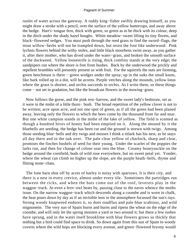runlet of water across the gateway. A ruddy king−fisher swiftly drawing himself, as you might draw a stroke with a pencil, over the surface of the yellow buttercups, and away above the hedge. Hart's−tongue fern, thick with green, so green as to be thick with its colour, deep in the ditch under the shady hazel boughs. White meadow−sweet lifting its tiny florets, and black−flowered sedges. You must push through the reed grass to find the sword−flags; the stout willow−herbs will not be trampled down, but resist the foot like underwood. Pink lychnis flowers behind the withy stoles, and little black moorhens swim away, as you gather it, after their mother, who has dived under the water−grass, and broken the smooth surface of the duckweed. Yellow loosestrife is rising, thick comfrey stands at the very edge; the sandpipers run where the shore is free from bushes. Back by the underwood the prickly and repellent brambles will presently present us with fruit. For the squirrels the nuts are forming, green beechmast is there − green wedges under the spray; up in the oaks the small knots, like bark rolled up in a dot, will be acorns. Purple vetches along the mounds, yellow lotus where the grass is shorter, and orchis succeeds to orchis. As I write them, so these things come − not set in gradation, but like the broadcast flowers in the mowing−grass.

 Now follows the gorse, and the pink rest−harrow, and the sweet lady's bedstraw, set as it were in the midst of a little thorn− bush. The broad repetition of the yellow clover is not to be written; acre upon acre, and not one spot of green, as if all the green had been planed away, leaving only the flowers to which the bees come by the thousand from far and near. But one white campion stands in the midst of the lake of yellow. The field is scented as though a hundred hives of honey had been emptied on it. Along the mound by it the bluebells are seeding, the hedge has been cut and the ground is strewn with twigs. Among those seeding blue−bells and dry twigs and mosses I think a titlark has his nest, as he stays all day there and in the oak over. The pale clear yellow of charlock, sharp and clear, promises the finches bushels of seed for their young. Under the scarlet of the poppies the larks run, and then for change of colour soar into the blue. Creamy honeysuckle on the hedge around the cornfield, buds of wild rose everywhere, but no sweet petal yet. Yonder, where the wheat can climb no higher up the slope, are the purple heath−bells, thyme and flitting stone−chats.

 The lone barn shut off by acres of barley is noisy with sparrows. It is their city, and there is a nest in every crevice, almost under every tile. Sometimes the partridges run between the ricks, and when the bats come out of the roof, leverets play in the waggon−track. At even a fern−owl beats by, passing close to the eaves whence the moths issue. On the narrow waggon−track which descends along a coombe and is worn in chalk, the heat pours down by day as if an invisible lens in the atmosphere focussed the sun's rays. Strong woody knapweed endures it, so does toadflax and pale blue scabious, and wild mignonette. The very sun of Spain burns and burns and ripens the wheat on the edge of the coombe, and will only let the spring moisten a yard or two around it; but there a few rushes have sprung, and in the water itself brooklime with blue flowers grows so thickly that nothing but a bird could find space to drink. So down again from this sun of Spain to woody coverts where the wild hops are blocking every avenue, and green−flowered bryony would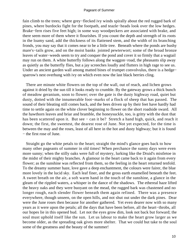fain climb to the trees; where grey−flecked ivy winds spirally about the red rugged bark of pines, where burdocks fight for the footpath, and teazle−heads look over the low hedges. Brake−fern rises five feet high; in some way woodpeckers are associated with brake, and there seem more of them where it flourishes. If you count the depth and strength of its roots in the loamy sand, add the thickness of its flattened stem, and the width of its branching fronds, you may say that it comes near to be a little tree. Beneath where the ponds are bushy mare's−tails grow, and on the moist banks jointed pewterwort; some of the broad bronze leaves of water−weeds seem to try and conquer the pond and cover it so firmly that a wagtail may run on them. A white butterfly follows along the waggon−road, the pheasants slip away as quietly as the butterfly flies, but a jay screeches loudly and flutters in high rage to see us. Under an ancient garden wall among matted bines of trumpet convolvulus, there is a hedge− sparrow's nest overhung with ivy on which even now the last black berries cling.

 There are minute white flowers on the top of the wall, out of reach, and lichen grows against it dried by the sun till it looks ready to crumble. By the gateway grows a thick bunch of meadow geranium, soon to flower; over the gate is the dusty highway road, quiet but dusty, dotted with the innumerable foot−marks of a flock of sheep that has passed. The sound of their bleating still comes back, and the bees driven up by their feet have hardly had time to settle again on the white clover beginning to flower on the short roadside sward. All the hawthorn leaves and briar and bramble, the honeysuckle, too, is gritty with the dust that has been scattered upon it. But see − can it be? Stretch a hand high, quick, and reach it down; the first, the sweetest, the dearest rose of June. Not yet expected, for the time is between the may and the roses, least of all here in the hot and dusty highway; but it is found − the first rose of June.

 Straight go the white petals to the heart; straight the mind's glance goes back to how many other pageants of summer in old times! When perchance the sunny days were even more sunny; when the stilly oaks were full of mystery, lurking like the Druid's mistletoe in the midst of their mighty branches. A glamour in the heart came back to it again from every flower; as the sunshine was reflected from them, so the feeling in the heart returned tenfold. To the dreamy summer haze, love gave a deep enchantment, the colours were fairer, the blue more lovely in the lucid sky. Each leaf finer, and the gross earth enamelled beneath the feet. A sweet breath on the air, a soft warm hand in the touch of the sunshine, a glance in the gleam of the rippled waters, a whisper in the dance of the shadows. The ethereal haze lifted the heavy oaks and they were buoyant on the mead, the rugged bark was chastened and no longer rough, each slender flower beneath them again refined. There was a presence everywhere, though unseen, on the open hills, and not shut out under the dark pines. Dear were the June roses then because for another gathered. Yet even dearer now with so many years as it were upon the petals; all the days that have been before, all the heart−throbs, all our hopes lie in this opened bud. Let not the eyes grow dim, look not back but forward; the soul must uphold itself like the sun. Let us labour to make the heart grow larger as we become older, as the spreading oak gives more shelter. That we could but take to the soul some of the greatness and the beauty of the summer!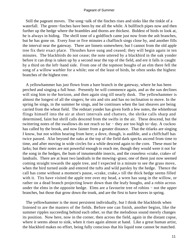Still the pageant moves. The song−talk of the finches rises and sinks like the tinkle of a waterfall. The green−finches have been by me all the while. A bullfinch pipes now and then further up the hedge where the brambles and thorns are thickest. Boldest of birds to look at, he is always in hiding. The shrill tone of a goldfinch came just now from the ash branches, but he has gone on. Every four or five minutes a chaffinch sings close by, and another fills the interval near the gateway. There are linnets somewhere, but I cannot from the old apple tree fix their exact place. Thrushes have sung and ceased; they will begin again in ten minutes. The blackbirds do not cease; the note uttered by a blackbird in the oak yonder before it can drop is taken up by a second near the top of the field, and ere it falls is caught by a third on the left−hand side. From one of the topmost boughs of an elm there fell the song of a willow warbler for a while; one of the least of birds, he often seeks the highest branches of the highest tree.

 A yellowhammer has just flown from a bare branch in the gateway, where he has been perched and singing a full hour. Presently he will commence again, and as the sun declines will sing him to the horizon, and then again sing till nearly dusk. The yellowhammer is almost the longest of all the singers; he sits and sits and has no inclination to move. In the spring he sings, in the summer he sings, and he continues when the last sheaves are being carried from the wheat field. The redstart yonder has given forth a few notes, the whitethroat flings himself into the air at short intervals and chatters, the shrike calls sharp and determined, faint but shrill calls descend from the swifts in the air. These descend, but the twittering notes of the swallows do not reach so far − they are too high to−day. A cuckoo has called by the brook, and now fainter from a greater distance. That the titlarks are singing I know, but not within hearing from here; a dove, though, is audible, and a chiffchaff has twice passed. Afar beyond the oaks at the top of the field dark specks ascend from time to time, and after moving in wide circles for a while descend again to the corn. These must be larks; but their notes are not powerful enough to reach me, though they would were it not for the song in the hedges, the hum of innumerable insects, and the ceaseless «crake, crake» of landrails. There are at least two landrails in the mowing−grass; one of them just now seemed coming straight towards the apple tree, and I expected in a minute to see the grass move, when the bird turned aside and entered the tufts and wild parsley by the hedge. Thence the call has come without a moment's pause, «crake, crake,» till the thick hedge seems filled with it. Tits have visited the apple tree over my head, a wren has sung in the willow, or rather on a dead branch projecting lower down than the leafy boughs, and a robin across under the elms in the opposite hedge. Elms are a favourite tree of robins – not the upper branches, but those that grow down the trunk, and are the first to have leaves in spring.

 The yellowhammer is the most persistent individually, but I think the blackbirds when listened to are the masters of the fields. Before one can finish, another begins, like the summer ripples succeeding behind each other, so that the melodious sound merely changes its position. Now here, now in the corner, then across the field, again in the distant copse, where it seems about to sink, when it rises again almost at hand. Like a great human artist, the blackbird makes no effort, being fully conscious that his liquid tone cannot be matched.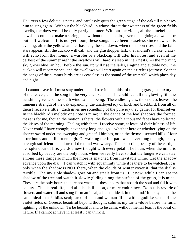He utters a few delicious notes, and carelessly quits the green stage of the oak till it pleases him to sing again. Without the blackbird, in whose throat the sweetness of the green fields dwells, the days would be only partly summer. Without the violet, all the bluebells and cowslips could not make a spring, and without the blackbird, even the nightingale would be but half welcome. It is not yet noon, these songs have been ceaseless since dawn; this evening, after the yellowhammer has sung the sun down, when the moon rises and the faint stars appear, still the cuckoo will call, and the grasshopper lark, the landrail's «crake, crake» will echo from the mound, a warbler or a blackcap will utter his notes, and even at the darkest of the summer night the swallows will hardly sleep in their nests. As the morning sky grows blue, an hour before the sun, up will rise the larks, singing and audible now, the cuckoo will recommence, and the swallows will start again on their tireless journey. So that the songs of the summer birds are as ceaseless as the sound of the waterfall which plays day and night.

 I cannot leave it; I must stay under the old tree in the midst of the long grass, the luxury of the leaves, and the song in the very air. I seem as if I could feel all the glowing life the sunshine gives and the south wind calls to being. The endless grass, the endless leaves, the immense strength of the oak expanding, the unalloyed joy of finch and blackbird; from all of them I receive a little. Each gives me something of the pure joy they gather for themselves. In the blackbird's melody one note is mine; in the dance of the leaf shadows the formed maze is for me, though the motion is theirs; the flowers with a thousand faces have collected the kisses of the morning. Feeling with them, I receive some, at least, of their fulness of life. Never could I have enough; never stay long enough – whether here or whether lying on the shorter sward under the sweeping and graceful birches, or on the thyme− scented hills. Hour after hour, and still not enough. Or walking the footpath was never long enough, or my strength sufficient to endure till the mind was weary. The exceeding beauty of the earth, in her splendour of life, yields a new thought with every petal. The hours when the mind is absorbed by beauty are the only hours when we really live, so that the longer we can stay among these things so much the more is snatched from inevitable Time. Let the shadow advance upon the dial − I can watch it with equanimity while it is there to be watched. It is only when the shadow is NOT there, when the clouds of winter cover it, that the dial is terrible. The invisible shadow goes on and steals from us. But now, while I can see the shadow of the tree and watch it slowly gliding along the surface of the grass, it is mine. These are the only hours that are not wasted – these hours that absorb the soul and fill it with beauty. This is real life, and all else is illusion, or mere endurance. Does this reverie of flowers and waterfall and song form an ideal, a human ideal, in the mind? It does; much the same ideal that Phidias sculptured of man and woman filled with a godlike sense of the violet fields of Greece, beautiful beyond thought, calm as my turtle−dove before the lurid lightning of the unknown. To be beautiful and to be calm, without mental fear, is the ideal of nature. If I cannot achieve it, at least I can think it.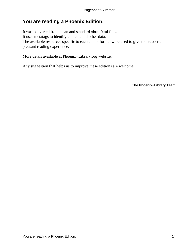# <span id="page-14-0"></span>**You are reading a Phoenix Edition:**

It was converted from clean and standard xhtml/xml files. It uses metatags to identify content, and other data. The available resources specific to each ebook format were used to give the reader a pleasant reading experience.

More detais available at Phoenix−Library.org website.

Any suggestion that helps us to improve these editions are welcome.

**The Phoenix−Library Team**